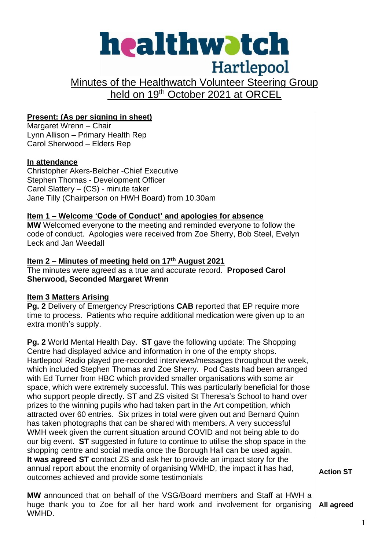# healthwatch Hartlepool Minutes of the Healthwatch Volunteer Steering Group held on 19<sup>th</sup> October 2021 at ORCEL **Present: (As per signing in sheet)** Margaret Wrenn – Chair Lynn Allison – Primary Health Rep Carol Sherwood – Elders Rep **In attendance** Christopher Akers-Belcher -Chief Executive Stephen Thomas - Development Officer Carol Slattery – (CS) - minute taker Jane Tilly (Chairperson on HWH Board) from 10.30am **Item 1 – Welcome 'Code of Conduct' and apologies for absence MW** Welcomed everyone to the meeting and reminded everyone to follow the code of conduct. Apologies were received from Zoe Sherry, Bob Steel, Evelyn Leck and Jan Weedall **Item 2 – Minutes of meeting held on 17th August 2021** The minutes were agreed as a true and accurate record. **Proposed Carol Sherwood, Seconded Margaret Wrenn Item 3 Matters Arising Pg. 2** Delivery of Emergency Prescriptions **CAB** reported that EP require more time to process. Patients who require additional medication were given up to an extra month's supply. **Pg. 2** World Mental Health Day. **ST** gave the following update: The Shopping Centre had displayed advice and information in one of the empty shops. Hartlepool Radio played pre-recorded interviews/messages throughout the week, which included Stephen Thomas and Zoe Sherry. Pod Casts had been arranged with Ed Turner from HBC which provided smaller organisations with some air space, which were extremely successful. This was particularly beneficial for those who support people directly. ST and ZS visited St Theresa's School to hand over prizes to the winning pupils who had taken part in the Art competition, which attracted over 60 entries. Six prizes in total were given out and Bernard Quinn has taken photographs that can be shared with members. A very successful WMH week given the current situation around COVID and not being able to do our big event. **ST** suggested in future to continue to utilise the shop space in the shopping centre and social media once the Borough Hall can be used again. **It was agreed ST c**ontact ZS and ask her to provide an impact story for the annual report about the enormity of organising WMHD, the impact it has had,

**Action ST**

**MW** announced that on behalf of the VSG/Board members and Staff at HWH a huge thank you to Zoe for all her hard work and involvement for organising WMHD. **All agreed** 

outcomes achieved and provide some testimonials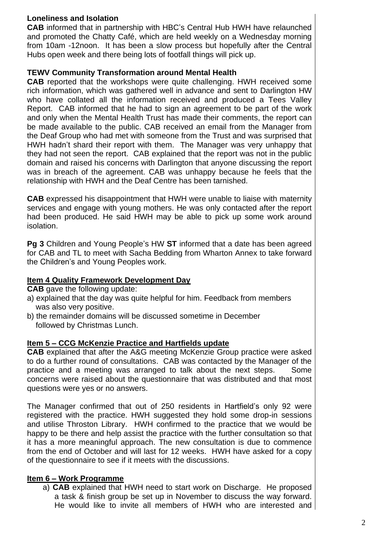## **Loneliness and Isolation**

**CAB** informed that in partnership with HBC's Central Hub HWH have relaunched and promoted the Chatty Café, which are held weekly on a Wednesday morning from 10am -12noon. It has been a slow process but hopefully after the Central Hubs open week and there being lots of footfall things will pick up.

#### **TEWV Community Transformation around Mental Health**

**CAB** reported that the workshops were quite challenging. HWH received some rich information, which was gathered well in advance and sent to Darlington HW who have collated all the information received and produced a Tees Valley Report. CAB informed that he had to sign an agreement to be part of the work and only when the Mental Health Trust has made their comments, the report can be made available to the public. CAB received an email from the Manager from the Deaf Group who had met with someone from the Trust and was surprised that HWH hadn't shard their report with them. The Manager was very unhappy that they had not seen the report. CAB explained that the report was not in the public domain and raised his concerns with Darlington that anyone discussing the report was in breach of the agreement. CAB was unhappy because he feels that the relationship with HWH and the Deaf Centre has been tarnished.

**CAB** expressed his disappointment that HWH were unable to liaise with maternity services and engage with young mothers. He was only contacted after the report had been produced. He said HWH may be able to pick up some work around isolation.

**Pg 3** Children and Young People's HW **ST** informed that a date has been agreed for CAB and TL to meet with Sacha Bedding from Wharton Annex to take forward the Children's and Young Peoples work.

#### **Item 4 Quality Framework Development Day**

**CAB** gave the following update:

- a) explained that the day was quite helpful for him. Feedback from members was also very positive.
- b) the remainder domains will be discussed sometime in December followed by Christmas Lunch.

#### **Item 5 – CCG McKenzie Practice and Hartfields update**

**CAB** explained that after the A&G meeting McKenzie Group practice were asked to do a further round of consultations. CAB was contacted by the Manager of the practice and a meeting was arranged to talk about the next steps. Some concerns were raised about the questionnaire that was distributed and that most questions were yes or no answers.

The Manager confirmed that out of 250 residents in Hartfield's only 92 were registered with the practice. HWH suggested they hold some drop-in sessions and utilise Throston Library. HWH confirmed to the practice that we would be happy to be there and help assist the practice with the further consultation so that it has a more meaningful approach. The new consultation is due to commence from the end of October and will last for 12 weeks. HWH have asked for a copy of the questionnaire to see if it meets with the discussions.

#### **Item 6 – Work Programme**

a) **CAB** explained that HWH need to start work on Discharge. He proposed a task & finish group be set up in November to discuss the way forward. He would like to invite all members of HWH who are interested and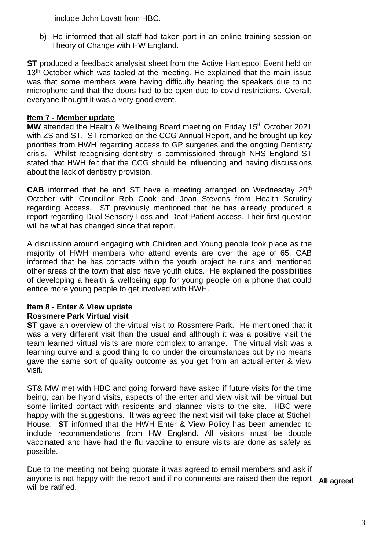include John Lovatt from HBC.

b) He informed that all staff had taken part in an online training session on Theory of Change with HW England.

**ST** produced a feedback analysist sheet from the Active Hartlepool Event held on 13<sup>th</sup> October which was tabled at the meeting. He explained that the main issue was that some members were having difficulty hearing the speakers due to no microphone and that the doors had to be open due to covid restrictions. Overall, everyone thought it was a very good event.

## **Item 7 - Member update**

**MW** attended the Health & Wellbeing Board meeting on Friday 15<sup>th</sup> October 2021 with ZS and ST. ST remarked on the CCG Annual Report, and he brought up key priorities from HWH regarding access to GP surgeries and the ongoing Dentistry crisis. Whilst recognising dentistry is commissioned through NHS England ST stated that HWH felt that the CCG should be influencing and having discussions about the lack of dentistry provision.

**CAB** informed that he and ST have a meeting arranged on Wednesday 20<sup>th</sup> October with Councillor Rob Cook and Joan Stevens from Health Scrutiny regarding Access. ST previously mentioned that he has already produced a report regarding Dual Sensory Loss and Deaf Patient access. Their first question will be what has changed since that report.

A discussion around engaging with Children and Young people took place as the majority of HWH members who attend events are over the age of 65. CAB informed that he has contacts within the youth project he runs and mentioned other areas of the town that also have youth clubs. He explained the possibilities of developing a health & wellbeing app for young people on a phone that could entice more young people to get involved with HWH.

## **Item 8 - Enter & View update**

## **Rossmere Park Virtual visit**

**ST** gave an overview of the virtual visit to Rossmere Park. He mentioned that it was a very different visit than the usual and although it was a positive visit the team learned virtual visits are more complex to arrange. The virtual visit was a learning curve and a good thing to do under the circumstances but by no means gave the same sort of quality outcome as you get from an actual enter & view visit.

ST& MW met with HBC and going forward have asked if future visits for the time being, can be hybrid visits, aspects of the enter and view visit will be virtual but some limited contact with residents and planned visits to the site. HBC were happy with the suggestions. It was agreed the next visit will take place at Stichell House. **ST** informed that the HWH Enter & View Policy has been amended to include recommendations from HW England. All visitors must be double vaccinated and have had the flu vaccine to ensure visits are done as safely as possible.

Due to the meeting not being quorate it was agreed to email members and ask if anyone is not happy with the report and if no comments are raised then the report will be ratified. **All agreed**